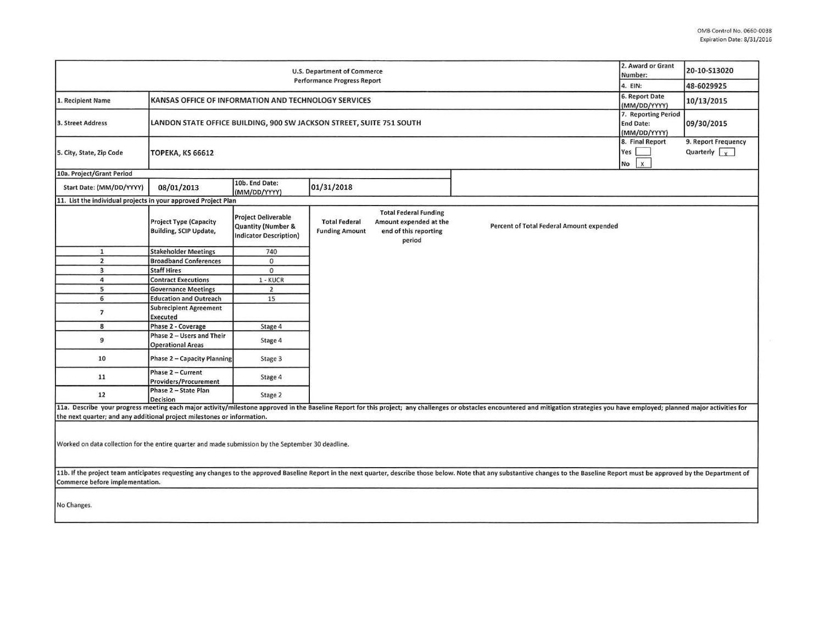| <b>U.S. Department of Commerce</b><br><b>Performance Progress Report</b>                           |                                                                      |                                                                                              |                                               |                                                                                           |                                                                                                                                                                                                                                | 2. Award or Grant<br>Number:<br>4. EIN:                                 | 20-10-S13020<br>48-6029925                  |
|----------------------------------------------------------------------------------------------------|----------------------------------------------------------------------|----------------------------------------------------------------------------------------------|-----------------------------------------------|-------------------------------------------------------------------------------------------|--------------------------------------------------------------------------------------------------------------------------------------------------------------------------------------------------------------------------------|-------------------------------------------------------------------------|---------------------------------------------|
| 1. Recipient Name                                                                                  | KANSAS OFFICE OF INFORMATION AND TECHNOLOGY SERVICES                 |                                                                                              |                                               |                                                                                           |                                                                                                                                                                                                                                | 6. Report Date                                                          | 10/13/2015                                  |
| 3. Street Address                                                                                  | LANDON STATE OFFICE BUILDING, 900 SW JACKSON STREET, SUITE 751 SOUTH |                                                                                              |                                               |                                                                                           |                                                                                                                                                                                                                                | (MM/DD/YYYY)<br>7. Reporting Period<br><b>End Date:</b><br>(MM/DD/YYYY) | 09/30/2015                                  |
| 5. City, State, Zip Code                                                                           | <b>ТОРЕКА, КЅ 66612</b>                                              |                                                                                              |                                               |                                                                                           |                                                                                                                                                                                                                                | 8. Final Report<br>Yes<br>$\mathsf{x}$<br>No                            | 9. Report Frequency<br>Quarterly $\sqrt{y}$ |
| 10a. Project/Grant Period                                                                          |                                                                      |                                                                                              |                                               |                                                                                           |                                                                                                                                                                                                                                |                                                                         |                                             |
| Start Date: (MM/DD/YYYY)                                                                           | 08/01/2013                                                           | 10b. End Date:<br>(MM/DD/YYYY)                                                               | 01/31/2018                                    |                                                                                           |                                                                                                                                                                                                                                |                                                                         |                                             |
| 11. List the individual projects in your approved Project Plan                                     |                                                                      |                                                                                              |                                               |                                                                                           |                                                                                                                                                                                                                                |                                                                         |                                             |
|                                                                                                    | <b>Project Type (Capacity</b><br><b>Building, SCIP Update,</b>       | <b>Project Deliverable</b><br><b>Quantity (Number &amp;</b><br><b>Indicator Description)</b> | <b>Total Federal</b><br><b>Funding Amount</b> | <b>Total Federal Funding</b><br>Amount expended at the<br>end of this reporting<br>period | Percent of Total Federal Amount expended                                                                                                                                                                                       |                                                                         |                                             |
| $\mathbf{1}$                                                                                       | <b>Stakeholder Meetings</b>                                          | 740                                                                                          |                                               |                                                                                           |                                                                                                                                                                                                                                |                                                                         |                                             |
| $\overline{2}$                                                                                     | <b>Broadband Conferences</b>                                         | 0                                                                                            |                                               |                                                                                           |                                                                                                                                                                                                                                |                                                                         |                                             |
| $\overline{3}$                                                                                     | <b>Staff Hires</b>                                                   | $\circ$                                                                                      |                                               |                                                                                           |                                                                                                                                                                                                                                |                                                                         |                                             |
| $\overline{a}$                                                                                     | <b>Contract Executions</b>                                           | 1 - KUCR                                                                                     |                                               |                                                                                           |                                                                                                                                                                                                                                |                                                                         |                                             |
| 5                                                                                                  | <b>Governance Meetings</b>                                           | $\overline{2}$                                                                               |                                               |                                                                                           |                                                                                                                                                                                                                                |                                                                         |                                             |
| 6                                                                                                  | <b>Education and Outreach</b>                                        | 15                                                                                           |                                               |                                                                                           |                                                                                                                                                                                                                                |                                                                         |                                             |
| $\overline{7}$                                                                                     | <b>Subrecipient Agreement</b><br>Executed                            |                                                                                              |                                               |                                                                                           |                                                                                                                                                                                                                                |                                                                         |                                             |
| 8                                                                                                  | Phase 2 - Coverage                                                   | Stage 4                                                                                      |                                               |                                                                                           |                                                                                                                                                                                                                                |                                                                         |                                             |
| 9                                                                                                  | Phase 2 - Users and Their<br><b>Operational Areas</b>                | Stage 4                                                                                      |                                               |                                                                                           |                                                                                                                                                                                                                                |                                                                         |                                             |
| 10                                                                                                 | <b>Phase 2 - Capacity Planning</b>                                   | Stage 3                                                                                      |                                               |                                                                                           |                                                                                                                                                                                                                                |                                                                         |                                             |
| 11                                                                                                 | Phase 2 - Current<br>Providers/Procurement                           | Stage 4                                                                                      |                                               |                                                                                           |                                                                                                                                                                                                                                |                                                                         |                                             |
| 12                                                                                                 | Phase 2 - State Plan<br><b>Decision</b>                              | Stage 2                                                                                      |                                               |                                                                                           |                                                                                                                                                                                                                                |                                                                         |                                             |
|                                                                                                    |                                                                      |                                                                                              |                                               |                                                                                           | 11a. Describe your progress meeting each major activity/milestone approved in the Baseline Report for this project; any challenges or obstacles encountered and mitigation strategies you have employed; planned major activit |                                                                         |                                             |
| the next quarter; and any additional project milestones or information.                            |                                                                      |                                                                                              |                                               |                                                                                           |                                                                                                                                                                                                                                |                                                                         |                                             |
| Worked on data collection for the entire quarter and made submission by the September 30 deadline. |                                                                      |                                                                                              |                                               |                                                                                           |                                                                                                                                                                                                                                |                                                                         |                                             |
| Commerce before implementation.                                                                    |                                                                      |                                                                                              |                                               |                                                                                           | 11b. If the project team anticipates requesting any changes to the approved Baseline Report in the next quarter, describe those below. Note that any substantive changes to the Baseline Report must be approved by the Depart |                                                                         |                                             |
| No Changes.                                                                                        |                                                                      |                                                                                              |                                               |                                                                                           |                                                                                                                                                                                                                                |                                                                         |                                             |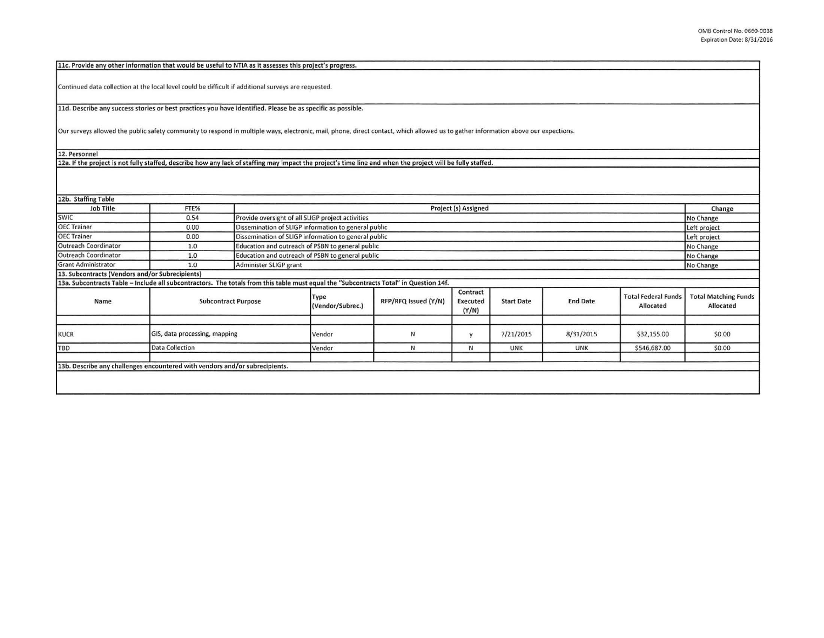| 11c. Provide any other information that would be useful to NTIA as it assesses this project's progress.                                                                            |                               |  |                                                                      |                      |                               |                   |                 |                                         |                                          |  |
|------------------------------------------------------------------------------------------------------------------------------------------------------------------------------------|-------------------------------|--|----------------------------------------------------------------------|----------------------|-------------------------------|-------------------|-----------------|-----------------------------------------|------------------------------------------|--|
| Continued data collection at the local level could be difficult if additional surveys are requested.                                                                               |                               |  |                                                                      |                      |                               |                   |                 |                                         |                                          |  |
| 11d. Describe any success stories or best practices you have identified. Please be as specific as possible.                                                                        |                               |  |                                                                      |                      |                               |                   |                 |                                         |                                          |  |
|                                                                                                                                                                                    |                               |  |                                                                      |                      |                               |                   |                 |                                         |                                          |  |
| Our surveys allowed the public safety community to respond in multiple ways, electronic, mail, phone, direct contact, which allowed us to gather information above our expections. |                               |  |                                                                      |                      |                               |                   |                 |                                         |                                          |  |
|                                                                                                                                                                                    |                               |  |                                                                      |                      |                               |                   |                 |                                         |                                          |  |
| 12. Personnel                                                                                                                                                                      |                               |  |                                                                      |                      |                               |                   |                 |                                         |                                          |  |
| 12a. If the project is not fully staffed, describe how any lack of staffing may impact the project's time line and when the project will be fully staffed.                         |                               |  |                                                                      |                      |                               |                   |                 |                                         |                                          |  |
|                                                                                                                                                                                    |                               |  |                                                                      |                      |                               |                   |                 |                                         |                                          |  |
|                                                                                                                                                                                    |                               |  |                                                                      |                      |                               |                   |                 |                                         |                                          |  |
| 12b. Staffing Table                                                                                                                                                                |                               |  |                                                                      |                      |                               |                   |                 |                                         |                                          |  |
| <b>Job Title</b>                                                                                                                                                                   | FTE%                          |  | Project (s) Assigned                                                 |                      |                               |                   |                 |                                         |                                          |  |
| SWIC                                                                                                                                                                               | 0.54                          |  | Provide oversight of all SLIGP project activities<br>No Change       |                      |                               |                   |                 |                                         |                                          |  |
| <b>OEC Trainer</b>                                                                                                                                                                 | 0.00                          |  | Dissemination of SLIGP information to general public<br>Left project |                      |                               |                   |                 |                                         |                                          |  |
| <b>OEC Trainer</b>                                                                                                                                                                 | 0.00                          |  | Dissemination of SLIGP information to general public<br>Left project |                      |                               |                   |                 |                                         |                                          |  |
| <b>Outreach Coordinator</b>                                                                                                                                                        | 1.0                           |  | Education and outreach of PSBN to general public<br>No Change        |                      |                               |                   |                 |                                         |                                          |  |
| Outreach Coordinator                                                                                                                                                               | 1.0                           |  | Education and outreach of PSBN to general public<br>No Change        |                      |                               |                   |                 |                                         |                                          |  |
| <b>Grant Administrator</b>                                                                                                                                                         | 1.0                           |  | Administer SLIGP grant<br>No Change                                  |                      |                               |                   |                 |                                         |                                          |  |
| 13. Subcontracts (Vendors and/or Subrecipients)                                                                                                                                    |                               |  |                                                                      |                      |                               |                   |                 |                                         |                                          |  |
| 13a. Subcontracts Table - Include all subcontractors. The totals from this table must equal the "Subcontracts Total" in Question 14f.                                              |                               |  |                                                                      |                      |                               |                   |                 |                                         |                                          |  |
| Name                                                                                                                                                                               | <b>Subcontract Purpose</b>    |  | Type<br>(Vendor/Subrec.)                                             | RFP/RFQ Issued (Y/N) | Contract<br>Executed<br>(Y/N) | <b>Start Date</b> | <b>End Date</b> | <b>Total Federal Funds</b><br>Allocated | <b>Total Matching Funds</b><br>Allocated |  |
|                                                                                                                                                                                    |                               |  |                                                                      |                      |                               |                   |                 |                                         |                                          |  |
| <b>KUCR</b>                                                                                                                                                                        | GIS, data processing, mapping |  | Vendor                                                               | N                    | y                             | 7/21/2015         | 8/31/2015       | \$32,155.00                             | \$0.00                                   |  |
| <b>TBD</b>                                                                                                                                                                         | <b>Data Collection</b>        |  | Vendor                                                               | N                    | $\mathsf{N}$                  | <b>UNK</b>        | <b>UNK</b>      | \$546,687.00                            | \$0.00                                   |  |
|                                                                                                                                                                                    |                               |  |                                                                      |                      |                               |                   |                 |                                         |                                          |  |
| 13b. Describe any challenges encountered with vendors and/or subrecipients.                                                                                                        |                               |  |                                                                      |                      |                               |                   |                 |                                         |                                          |  |
|                                                                                                                                                                                    |                               |  |                                                                      |                      |                               |                   |                 |                                         |                                          |  |
|                                                                                                                                                                                    |                               |  |                                                                      |                      |                               |                   |                 |                                         |                                          |  |